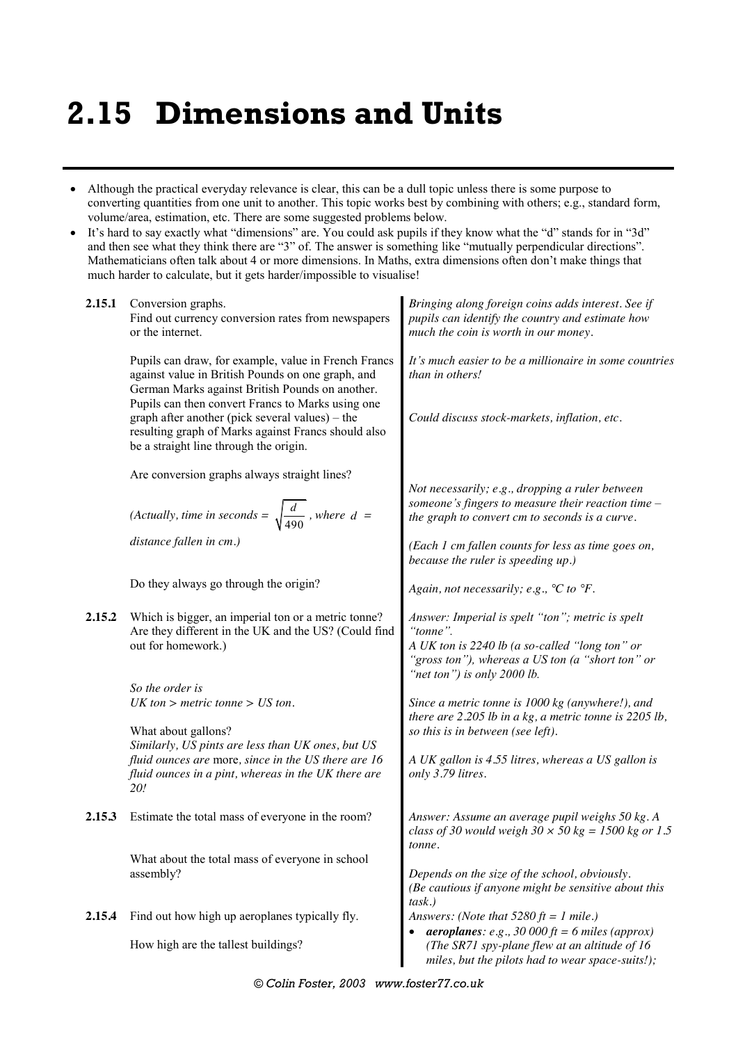## **2.15 Dimensions and Units**

- Although the practical everyday relevance is clear, this can be a dull topic unless there is some purpose to converting quantities from one unit to another. This topic works best by combining with others; e.g., standard form, volume/area, estimation, etc. There are some suggested problems below.
- It's hard to say exactly what "dimensions" are. You could ask pupils if they know what the "d" stands for in "3d" and then see what they think there are "3" of. The answer is something like "mutually perpendicular directions". Mathematicians often talk about 4 or more dimensions. In Maths, extra dimensions often don't make things that much harder to calculate, but it gets harder/impossible to visualise!

| 2.15.1 | Conversion graphs.<br>Find out currency conversion rates from newspapers<br>or the internet.                                                                                                          | Bringing along foreign coins adds interest. See if<br>pupils can identify the country and estimate how<br>much the coin is worth in our money.                                                    |  |  |  |  |  |  |  |
|--------|-------------------------------------------------------------------------------------------------------------------------------------------------------------------------------------------------------|---------------------------------------------------------------------------------------------------------------------------------------------------------------------------------------------------|--|--|--|--|--|--|--|
|        | Pupils can draw, for example, value in French Francs<br>against value in British Pounds on one graph, and<br>German Marks against British Pounds on another.                                          | It's much easier to be a millionaire in some countries<br>than in others!                                                                                                                         |  |  |  |  |  |  |  |
|        | Pupils can then convert Francs to Marks using one<br>graph after another (pick several values) – the<br>resulting graph of Marks against Francs should also<br>be a straight line through the origin. | Could discuss stock-markets, inflation, etc.                                                                                                                                                      |  |  |  |  |  |  |  |
|        | Are conversion graphs always straight lines?                                                                                                                                                          | Not necessarily; e.g., dropping a ruler between<br>someone's fingers to measure their reaction time $-$                                                                                           |  |  |  |  |  |  |  |
|        | (Actually, time in seconds = $\sqrt{\frac{d}{490}}$ , where $d =$                                                                                                                                     | the graph to convert cm to seconds is a curve.                                                                                                                                                    |  |  |  |  |  |  |  |
|        | distance fallen in cm.)                                                                                                                                                                               | (Each 1 cm fallen counts for less as time goes on,<br>because the ruler is speeding up.)                                                                                                          |  |  |  |  |  |  |  |
|        | Do they always go through the origin?                                                                                                                                                                 | Again, not necessarily; e.g., $°C$ to $°F$ .                                                                                                                                                      |  |  |  |  |  |  |  |
| 2.15.2 | Which is bigger, an imperial ton or a metric tonne?<br>Are they different in the UK and the US? (Could find<br>out for homework.)                                                                     | Answer: Imperial is spelt "ton"; metric is spelt<br>"tonne".<br>A UK ton is 2240 lb (a so-called "long ton" or<br>"gross ton"), whereas a US ton (a "short ton" or<br>"net ton") is only 2000 lb. |  |  |  |  |  |  |  |
|        | So the order is                                                                                                                                                                                       |                                                                                                                                                                                                   |  |  |  |  |  |  |  |
|        | $UK$ ton > metric tonne > $US$ ton.                                                                                                                                                                   | Since a metric tonne is 1000 kg (anywhere!), and<br>there are $2.205$ lb in a kg, a metric tonne is $2205$ lb,                                                                                    |  |  |  |  |  |  |  |
|        | What about gallons?<br>Similarly, US pints are less than UK ones, but US                                                                                                                              | so this is in between (see left).                                                                                                                                                                 |  |  |  |  |  |  |  |
|        | fluid ounces are more, since in the US there are 16<br>fluid ounces in a pint, whereas in the UK there are<br>20!                                                                                     | A UK gallon is 4.55 litres, whereas a US gallon is<br>only 3.79 litres.                                                                                                                           |  |  |  |  |  |  |  |
| 2.15.3 | Estimate the total mass of everyone in the room?                                                                                                                                                      | Answer: Assume an average pupil weighs 50 kg. A<br>class of 30 would weigh $30 \times 50$ kg = 1500 kg or 1.5<br>tonne.                                                                           |  |  |  |  |  |  |  |
|        | What about the total mass of everyone in school                                                                                                                                                       |                                                                                                                                                                                                   |  |  |  |  |  |  |  |
|        | assembly?                                                                                                                                                                                             | Depends on the size of the school, obviously.<br>(Be cautious if anyone might be sensitive about this<br>task.)                                                                                   |  |  |  |  |  |  |  |
| 2.15.4 | Find out how high up aeroplanes typically fly.                                                                                                                                                        | Answers: (Note that $5280 \text{ ft} = 1 \text{ mile}$ .)                                                                                                                                         |  |  |  |  |  |  |  |
|        | How high are the tallest buildings?                                                                                                                                                                   | <b>aeroplanes</b> : e.g., 30 000 ft = 6 miles (approx)<br>(The SR71 spy-plane flew at an altitude of 16<br>miles, but the pilots had to wear space-suits!);                                       |  |  |  |  |  |  |  |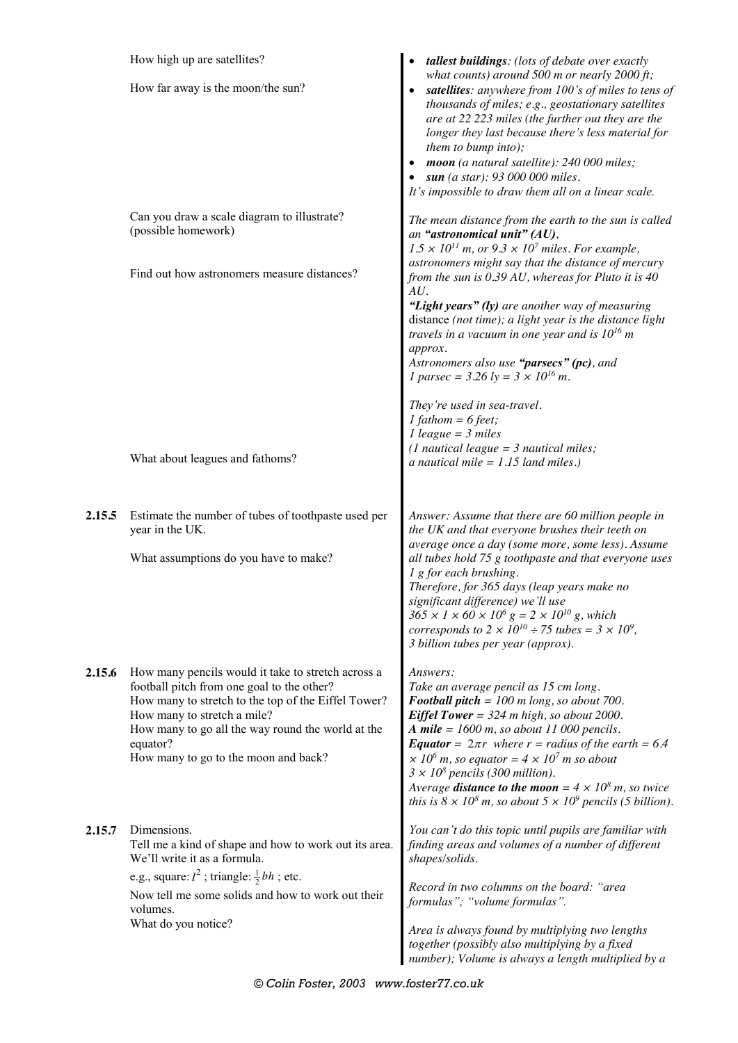|        | How high up are satellites?                                                                                                                                                                                                                                                                     | tallest buildings: (lots of debate over exactly                                                                                                                                                                                                                                                                                                                                                                                                                                                                                  |  |  |  |  |  |  |  |  |
|--------|-------------------------------------------------------------------------------------------------------------------------------------------------------------------------------------------------------------------------------------------------------------------------------------------------|----------------------------------------------------------------------------------------------------------------------------------------------------------------------------------------------------------------------------------------------------------------------------------------------------------------------------------------------------------------------------------------------------------------------------------------------------------------------------------------------------------------------------------|--|--|--|--|--|--|--|--|
|        | How far away is the moon/the sun?                                                                                                                                                                                                                                                               | what counts) around 500 m or nearly $2000 \text{ ft}$ ;<br>satellites: anywhere from 100's of miles to tens of<br>thousands of miles; e.g., geostationary satellites<br>are at 22 223 miles (the further out they are the<br>longer they last because there's less material for<br>them to bump into);<br>moon (a natural satellite): 240 000 miles;<br>sun (a star): 93 000 000 miles.<br>It's impossible to draw them all on a linear scale.                                                                                   |  |  |  |  |  |  |  |  |
|        | Can you draw a scale diagram to illustrate?<br>(possible homework)<br>Find out how astronomers measure distances?                                                                                                                                                                               | The mean distance from the earth to the sun is called<br>an "astronomical unit" (AU),<br>$1.5 \times 10^{11}$ m, or $9.3 \times 10^7$ miles. For example,<br>astronomers might say that the distance of mercury                                                                                                                                                                                                                                                                                                                  |  |  |  |  |  |  |  |  |
|        |                                                                                                                                                                                                                                                                                                 | from the sun is $0.39$ AU, whereas for Pluto it is 40<br>AU.<br>"Light years" (ly) are another way of measuring<br>distance (not time); a light year is the distance light<br>travels in a vacuum in one year and is $10^{16}$ m<br>approx.<br>Astronomers also use "parsecs" (pc), and<br><i>l</i> parsec = 3.26 $ly = 3 \times 10^{16}$ m.                                                                                                                                                                                     |  |  |  |  |  |  |  |  |
|        |                                                                                                                                                                                                                                                                                                 | They're used in sea-travel.<br>$1$ fathom = 6 feet;<br>$1$ league = 3 miles<br>(1 nautical league = $3$ nautical miles;                                                                                                                                                                                                                                                                                                                                                                                                          |  |  |  |  |  |  |  |  |
|        | What about leagues and fathoms?                                                                                                                                                                                                                                                                 | a nautical mile = $1.15$ land miles.)                                                                                                                                                                                                                                                                                                                                                                                                                                                                                            |  |  |  |  |  |  |  |  |
| 2.15.5 | Estimate the number of tubes of toothpaste used per<br>year in the UK.<br>What assumptions do you have to make?                                                                                                                                                                                 | Answer: Assume that there are 60 million people in<br>the UK and that everyone brushes their teeth on<br>average once a day (some more, some less). Assume<br>all tubes hold 75 g toothpaste and that everyone uses<br>1 g for each brushing.<br>Therefore, for 365 days (leap years make no<br>significant difference) we'll use                                                                                                                                                                                                |  |  |  |  |  |  |  |  |
|        |                                                                                                                                                                                                                                                                                                 | $365 \times 1 \times 60 \times 10^6$ g = 2 × 10 <sup>10</sup> g, which<br>corresponds to $2 \times 10^{10} \div 75$ tubes = $3 \times 10^9$ ,<br>3 billion tubes per year (approx).                                                                                                                                                                                                                                                                                                                                              |  |  |  |  |  |  |  |  |
| 2.15.6 | How many pencils would it take to stretch across a<br>football pitch from one goal to the other?<br>How many to stretch to the top of the Eiffel Tower?<br>How many to stretch a mile?<br>How many to go all the way round the world at the<br>equator?<br>How many to go to the moon and back? | Answers:<br>Take an average pencil as 15 cm long.<br>Football pitch = $100$ m long, so about 700.<br><b>Eiffel Tower</b> = $324$ m high, so about 2000.<br>A mile = $1600$ m, so about 11 000 pencils.<br><b>Equator</b> = $2\pi r$ where $r$ = radius of the earth = 6.4<br>$\times 10^6$ m, so equator = $4 \times 10^7$ m so about<br>$3 \times 10^8$ pencils (300 million).<br>Average <b>distance to the moon</b> = $4 \times 10^8$ m, so twice<br>this is $8 \times 10^8$ m, so about $5 \times 10^9$ pencils (5 billion). |  |  |  |  |  |  |  |  |
| 2.15.7 | Dimensions.<br>Tell me a kind of shape and how to work out its area.<br>We'll write it as a formula.                                                                                                                                                                                            | You can't do this topic until pupils are familiar with<br>finding areas and volumes of a number of different<br>shapes/solids.                                                                                                                                                                                                                                                                                                                                                                                                   |  |  |  |  |  |  |  |  |
|        | e.g., square: $l^2$ ; triangle: $\frac{1}{2}bh$ ; etc.<br>Now tell me some solids and how to work out their<br>volumes.                                                                                                                                                                         | Record in two columns on the board: "area<br>formulas"; "volume formulas".                                                                                                                                                                                                                                                                                                                                                                                                                                                       |  |  |  |  |  |  |  |  |
|        | What do you notice?                                                                                                                                                                                                                                                                             | Area is always found by multiplying two lengths<br>together (possibly also multiplying by a fixed<br>number); Volume is always a length multiplied by a                                                                                                                                                                                                                                                                                                                                                                          |  |  |  |  |  |  |  |  |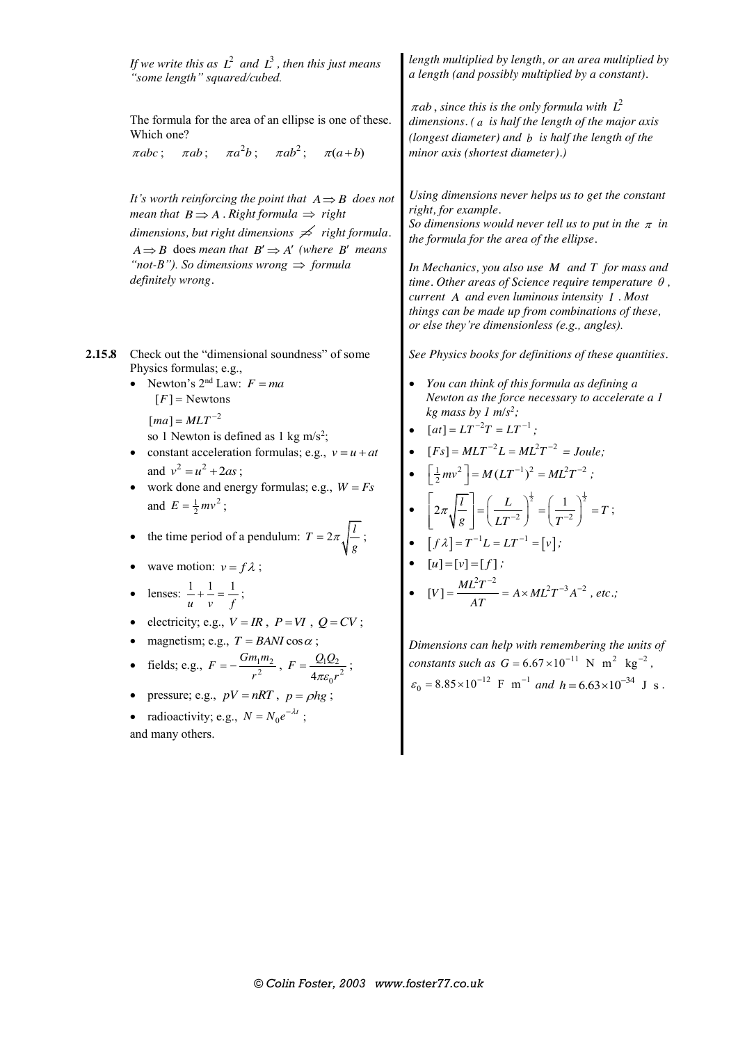|        | If we write this as $L^2$ and $L^3$ , then this just means<br>"some length" squared/cubed.                                                                                                                                                                                                                                                                                                                                                                                                                                                                                                                                                                                                                                                                                                                                                                                              | length multiplied by length, or an area multiplied by<br>a length (and possibly multiplied by a constant).                                                                                                                                                                                                                                                                                                                                                                                                                                                                                                                                                                                                                                                                                                                                                                |  |  |  |  |  |  |  |
|--------|-----------------------------------------------------------------------------------------------------------------------------------------------------------------------------------------------------------------------------------------------------------------------------------------------------------------------------------------------------------------------------------------------------------------------------------------------------------------------------------------------------------------------------------------------------------------------------------------------------------------------------------------------------------------------------------------------------------------------------------------------------------------------------------------------------------------------------------------------------------------------------------------|---------------------------------------------------------------------------------------------------------------------------------------------------------------------------------------------------------------------------------------------------------------------------------------------------------------------------------------------------------------------------------------------------------------------------------------------------------------------------------------------------------------------------------------------------------------------------------------------------------------------------------------------------------------------------------------------------------------------------------------------------------------------------------------------------------------------------------------------------------------------------|--|--|--|--|--|--|--|
|        | The formula for the area of an ellipse is one of these.<br>Which one?<br>$\pi abc$ ; $\pi ab$ ; $\pi a^2 b$ ; $\pi ab^2$ ; $\pi(a+b)$                                                                                                                                                                                                                                                                                                                                                                                                                                                                                                                                                                                                                                                                                                                                                   | $\pi$ ab, since this is the only formula with $L^2$<br>dimensions. (a is half the length of the major axis<br>(longest diameter) and b is half the length of the<br>minor axis (shortest diameter).)                                                                                                                                                                                                                                                                                                                                                                                                                                                                                                                                                                                                                                                                      |  |  |  |  |  |  |  |
|        | It's worth reinforcing the point that $A \Rightarrow B$ does not<br>mean that $B \implies A$ . Right formula $\implies$ right<br>dimensions, but right dimensions $\neq$ right formula.<br>$A \Rightarrow B$ does mean that $B' \Rightarrow A'$ (where B' means<br>"not-B"). So dimensions wrong $\Rightarrow$ formula<br>definitely wrong.                                                                                                                                                                                                                                                                                                                                                                                                                                                                                                                                             | Using dimensions never helps us to get the constant<br>right, for example.<br>So dimensions would never tell us to put in the $\pi$ in<br>the formula for the area of the ellipse.<br>In Mechanics, you also use $M$ and $T$ for mass and<br>time. Other areas of Science require temperature $\theta$ ,<br>current A and even luminous intensity I . Most<br>things can be made up from combinations of these,<br>or else they're dimensionless (e.g., angles).                                                                                                                                                                                                                                                                                                                                                                                                          |  |  |  |  |  |  |  |
| 2.15.8 | Check out the "dimensional soundness" of some<br>Physics formulas; e.g.,<br>• Newton's $2^{nd}$ Law: $F = ma$<br>$[F]$ = Newtons<br>$\lfloor ma \rfloor = MLT^{-2}$<br>so 1 Newton is defined as 1 kg m/s <sup>2</sup> ;<br>constant acceleration formulas; e.g., $v = u + at$<br>$\bullet$<br>and $v^2 = u^2 + 2as$ ;<br>work done and energy formulas; e.g., $W = Fs$<br>and $E = \frac{1}{2}mv^2$ ;<br>the time period of a pendulum: $T = 2\pi \sqrt{\frac{l}{g}}$ ;<br>wave motion: $v = f \lambda$ ;<br>lenses: $\frac{1}{u} + \frac{1}{v} = \frac{1}{f}$ ;<br>electricity; e.g., $V = IR$ , $P = VI$ , $Q = CV$ ;<br>magnetism; e.g., $T = BANI \cos \alpha$ ;<br>fields; e.g., $F = -\frac{Gm_1m_2}{r^2}$ , $F = \frac{Q_1Q_2}{4\pi\varepsilon_0 r^2}$ ;<br>pressure; e.g., $pV = nRT$ , $p = \rho hg$ ;<br>radioactivity; e.g., $N = N_0 e^{-\lambda t}$ ;<br>and many others. | See Physics books for definitions of these quantities.<br>You can think of this formula as defining a<br>$\bullet$<br>Newton as the force necessary to accelerate a 1<br>kg mass by 1 $m/s^2$ ;<br>$[at] = LT^{-2}T = LT^{-1}$ ;<br>$[Fs] = MLT^{-2}L = ML^{2}T^{-2} = Joule;$<br>$\left[\frac{1}{2}mv^2\right] = M(LT^{-1})^2 = ML^2T^{-2}$ ;<br>$\left[2\pi\sqrt{\frac{l}{g}}\right] = \left(\frac{L}{LT^{-2}}\right)^{\frac{1}{2}} = \left(\frac{1}{T^{-2}}\right)^{\frac{1}{2}} = T;$<br>$[f \lambda] = T^{-1}L = LT^{-1} = [v];$<br>$[u] = [v] = [f];$<br>$[V] = \frac{ML^2T^{-2}}{4T} = A \times ML^2T^{-3}A^{-2}$ , etc.;<br>Dimensions can help with remembering the units of<br>constants such as $G = 6.67 \times 10^{-11}$ N m <sup>2</sup> kg <sup>-2</sup> ,<br>$\varepsilon_0 = 8.85 \times 10^{-12}$ F m <sup>-1</sup> and h = 6.63×10 <sup>-34</sup> J s. |  |  |  |  |  |  |  |
|        |                                                                                                                                                                                                                                                                                                                                                                                                                                                                                                                                                                                                                                                                                                                                                                                                                                                                                         |                                                                                                                                                                                                                                                                                                                                                                                                                                                                                                                                                                                                                                                                                                                                                                                                                                                                           |  |  |  |  |  |  |  |